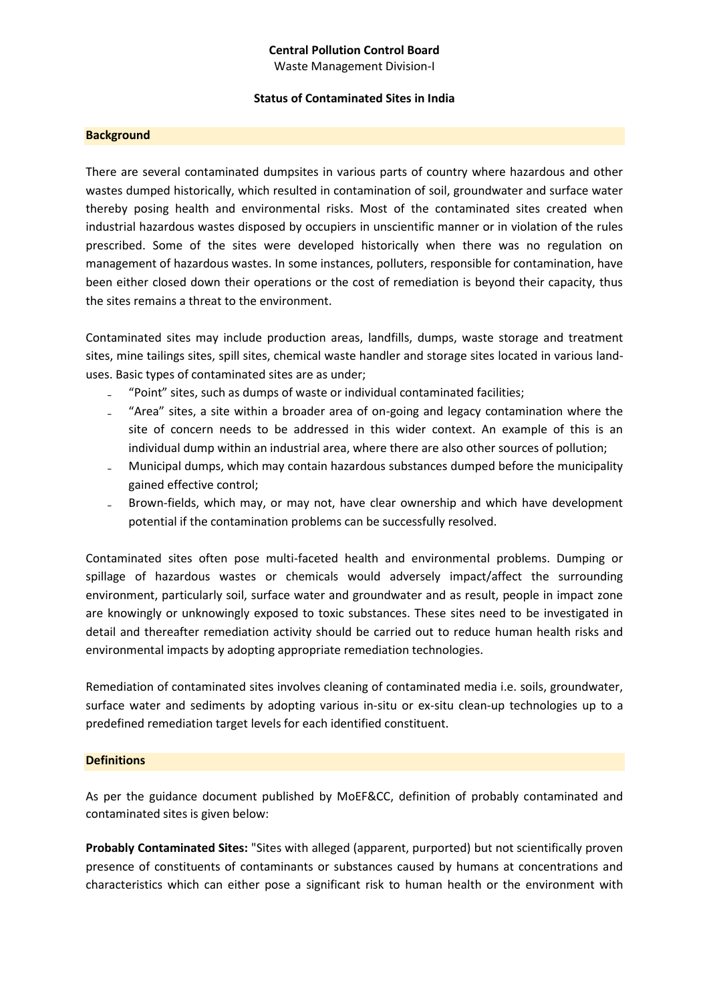Waste Management Division-I

### **Status of Contaminated Sites in India**

#### **Background**

There are several contaminated dumpsites in various parts of country where hazardous and other wastes dumped historically, which resulted in contamination of soil, groundwater and surface water thereby posing health and environmental risks. Most of the contaminated sites created when industrial hazardous wastes disposed by occupiers in unscientific manner or in violation of the rules prescribed. Some of the sites were developed historically when there was no regulation on management of hazardous wastes. In some instances, polluters, responsible for contamination, have been either closed down their operations or the cost of remediation is beyond their capacity, thus the sites remains a threat to the environment.

Contaminated sites may include production areas, landfills, dumps, waste storage and treatment sites, mine tailings sites, spill sites, chemical waste handler and storage sites located in various landuses. Basic types of contaminated sites are as under;

- ₋ "Point" sites, such as dumps of waste or individual contaminated facilities;
- ₋ "Area" sites, a site within a broader area of on-going and legacy contamination where the site of concern needs to be addressed in this wider context. An example of this is an individual dump within an industrial area, where there are also other sources of pollution;
- Municipal dumps, which may contain hazardous substances dumped before the municipality gained effective control;
- Brown-fields, which may, or may not, have clear ownership and which have development potential if the contamination problems can be successfully resolved.

Contaminated sites often pose multi-faceted health and environmental problems. Dumping or spillage of hazardous wastes or chemicals would adversely impact/affect the surrounding environment, particularly soil, surface water and groundwater and as result, people in impact zone are knowingly or unknowingly exposed to toxic substances. These sites need to be investigated in detail and thereafter remediation activity should be carried out to reduce human health risks and environmental impacts by adopting appropriate remediation technologies.

Remediation of contaminated sites involves cleaning of contaminated media i.e. soils, groundwater, surface water and sediments by adopting various in-situ or ex-situ clean-up technologies up to a predefined remediation target levels for each identified constituent.

### **Definitions**

As per the guidance document published by MoEF&CC, definition of probably contaminated and contaminated sites is given below:

**Probably Contaminated Sites:** "Sites with alleged (apparent, purported) but not scientifically proven presence of constituents of contaminants or substances caused by humans at concentrations and characteristics which can either pose a significant risk to human health or the environment with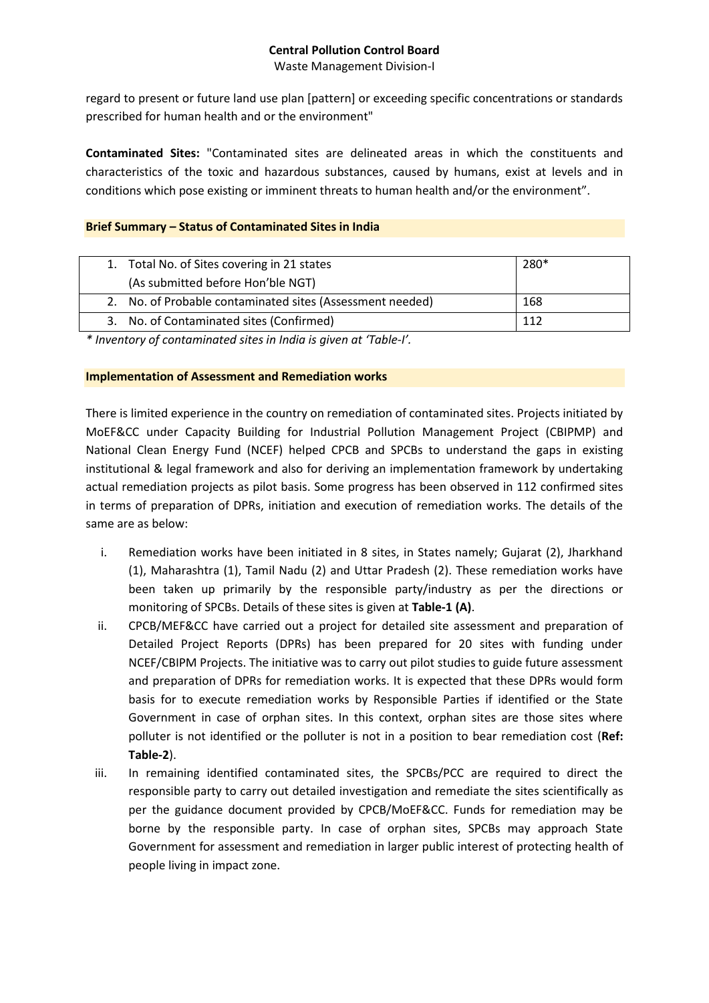Waste Management Division-I

regard to present or future land use plan [pattern] or exceeding specific concentrations or standards prescribed for human health and or the environment"

**Contaminated Sites:** "Contaminated sites are delineated areas in which the constituents and characteristics of the toxic and hazardous substances, caused by humans, exist at levels and in conditions which pose existing or imminent threats to human health and/or the environment".

### **Brief Summary – Status of Contaminated Sites in India**

|  | 1. Total No. of Sites covering in 21 states               | 280* |
|--|-----------------------------------------------------------|------|
|  | (As submitted before Hon'ble NGT)                         |      |
|  | 2. No. of Probable contaminated sites (Assessment needed) | 168  |
|  | 3. No. of Contaminated sites (Confirmed)                  | 112  |
|  |                                                           |      |

*\* Inventory of contaminated sites in India is given at 'Table-I'.*

## **Implementation of Assessment and Remediation works**

There is limited experience in the country on remediation of contaminated sites. Projects initiated by MoEF&CC under Capacity Building for Industrial Pollution Management Project (CBIPMP) and National Clean Energy Fund (NCEF) helped CPCB and SPCBs to understand the gaps in existing institutional & legal framework and also for deriving an implementation framework by undertaking actual remediation projects as pilot basis. Some progress has been observed in 112 confirmed sites in terms of preparation of DPRs, initiation and execution of remediation works. The details of the same are as below:

- i. Remediation works have been initiated in 8 sites, in States namely; Gujarat (2), Jharkhand (1), Maharashtra (1), Tamil Nadu (2) and Uttar Pradesh (2). These remediation works have been taken up primarily by the responsible party/industry as per the directions or monitoring of SPCBs. Details of these sites is given at **Table-1 (A)**.
- ii. CPCB/MEF&CC have carried out a project for detailed site assessment and preparation of Detailed Project Reports (DPRs) has been prepared for 20 sites with funding under NCEF/CBIPM Projects. The initiative was to carry out pilot studies to guide future assessment and preparation of DPRs for remediation works. It is expected that these DPRs would form basis for to execute remediation works by Responsible Parties if identified or the State Government in case of orphan sites. In this context, orphan sites are those sites where polluter is not identified or the polluter is not in a position to bear remediation cost (**Ref: Table-2**).
- iii. In remaining identified contaminated sites, the SPCBs/PCC are required to direct the responsible party to carry out detailed investigation and remediate the sites scientifically as per the guidance document provided by CPCB/MoEF&CC. Funds for remediation may be borne by the responsible party. In case of orphan sites, SPCBs may approach State Government for assessment and remediation in larger public interest of protecting health of people living in impact zone.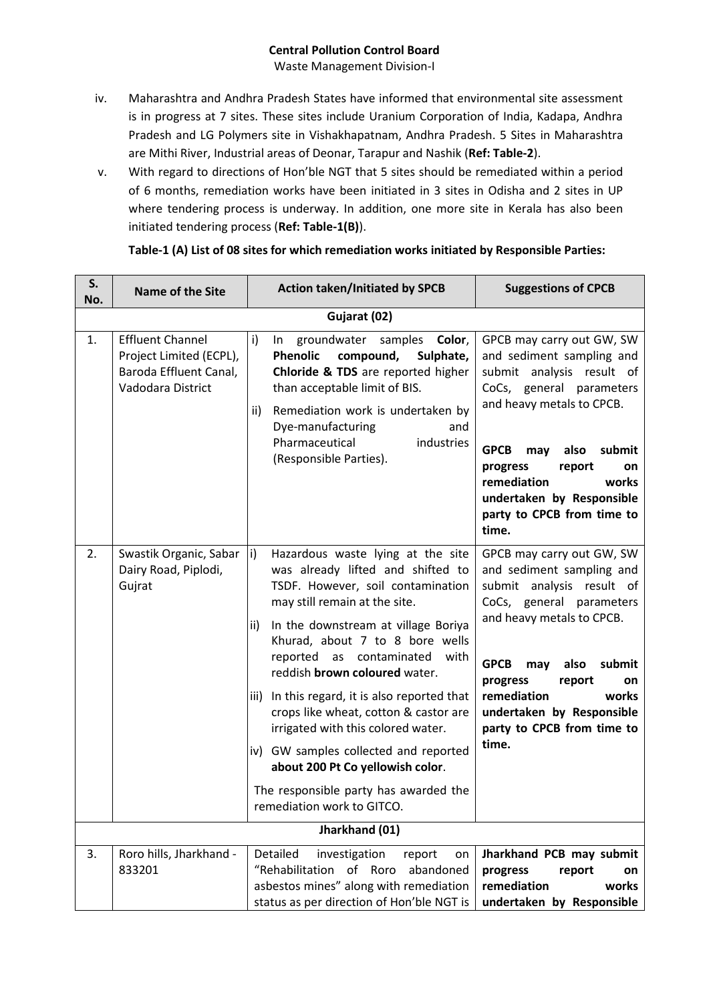Waste Management Division-I

- iv. Maharashtra and Andhra Pradesh States have informed that environmental site assessment is in progress at 7 sites. These sites include Uranium Corporation of India, Kadapa, Andhra Pradesh and LG Polymers site in Vishakhapatnam, Andhra Pradesh. 5 Sites in Maharashtra are Mithi River, Industrial areas of Deonar, Tarapur and Nashik (**Ref: Table-2**).
- v. With regard to directions of Hon'ble NGT that 5 sites should be remediated within a period of 6 months, remediation works have been initiated in 3 sites in Odisha and 2 sites in UP where tendering process is underway. In addition, one more site in Kerala has also been initiated tendering process (**Ref: Table-1(B)**).

| S.<br>No.      | <b>Name of the Site</b>                                                                           | <b>Action taken/Initiated by SPCB</b>                                                                                                                                                                                                                                                                                                                                                                                                                                                                                                                                                           | <b>Suggestions of CPCB</b>                                                                                                                                                                                                                                                                                   |  |  |  |
|----------------|---------------------------------------------------------------------------------------------------|-------------------------------------------------------------------------------------------------------------------------------------------------------------------------------------------------------------------------------------------------------------------------------------------------------------------------------------------------------------------------------------------------------------------------------------------------------------------------------------------------------------------------------------------------------------------------------------------------|--------------------------------------------------------------------------------------------------------------------------------------------------------------------------------------------------------------------------------------------------------------------------------------------------------------|--|--|--|
| Gujarat (02)   |                                                                                                   |                                                                                                                                                                                                                                                                                                                                                                                                                                                                                                                                                                                                 |                                                                                                                                                                                                                                                                                                              |  |  |  |
| 1.             | <b>Effluent Channel</b><br>Project Limited (ECPL),<br>Baroda Effluent Canal,<br>Vadodara District | $\mathsf{i}$<br>groundwater samples<br>Color,<br>In<br><b>Phenolic</b><br>compound,<br>Sulphate,<br><b>Chloride &amp; TDS</b> are reported higher<br>than acceptable limit of BIS.<br>Remediation work is undertaken by<br>ii)<br>Dye-manufacturing<br>and<br>Pharmaceutical<br>industries<br>(Responsible Parties).                                                                                                                                                                                                                                                                            | GPCB may carry out GW, SW<br>and sediment sampling and<br>submit analysis result of<br>CoCs, general parameters<br>and heavy metals to CPCB.<br><b>GPCB</b><br>also<br>submit<br>may<br>progress<br>report<br>on<br>remediation<br>works<br>undertaken by Responsible<br>party to CPCB from time to<br>time. |  |  |  |
| 2.             | Swastik Organic, Sabar<br>Dairy Road, Piplodi,<br>Gujrat                                          | i)<br>Hazardous waste lying at the site<br>was already lifted and shifted to<br>TSDF. However, soil contamination<br>may still remain at the site.<br>In the downstream at village Boriya<br>ii)<br>Khurad, about 7 to 8 bore wells<br>reported as contaminated<br>with<br>reddish brown coloured water.<br>In this regard, it is also reported that<br>iii)<br>crops like wheat, cotton & castor are<br>irrigated with this colored water.<br>iv) GW samples collected and reported<br>about 200 Pt Co yellowish color.<br>The responsible party has awarded the<br>remediation work to GITCO. | GPCB may carry out GW, SW<br>and sediment sampling and<br>submit analysis result of<br>CoCs, general parameters<br>and heavy metals to CPCB.<br>GPCB may<br>also<br>submit<br>progress<br>report<br>on<br>remediation<br>works<br>undertaken by Responsible<br>party to CPCB from time to<br>time.           |  |  |  |
| Jharkhand (01) |                                                                                                   |                                                                                                                                                                                                                                                                                                                                                                                                                                                                                                                                                                                                 |                                                                                                                                                                                                                                                                                                              |  |  |  |
| 3.             | Roro hills, Jharkhand -<br>833201                                                                 | Detailed<br>investigation<br>report<br>on<br>"Rehabilitation of Roro<br>abandoned<br>asbestos mines" along with remediation<br>status as per direction of Hon'ble NGT is                                                                                                                                                                                                                                                                                                                                                                                                                        | Jharkhand PCB may submit<br>progress<br>report<br>on<br>remediation<br>works<br>undertaken by Responsible                                                                                                                                                                                                    |  |  |  |

**Table-1 (A) List of 08 sites for which remediation works initiated by Responsible Parties:**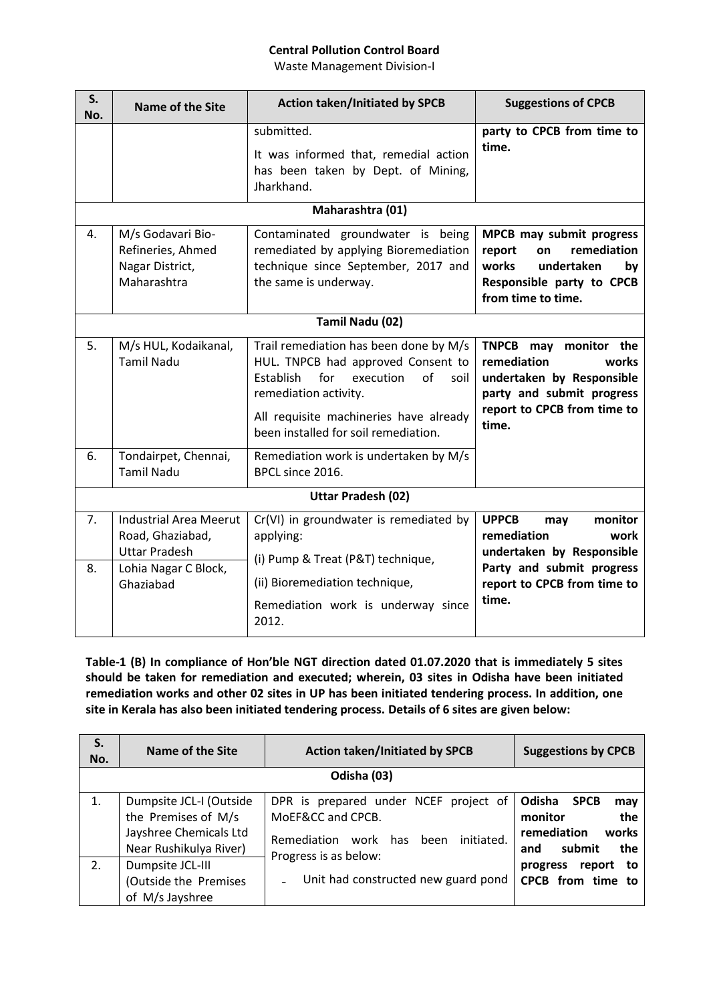Waste Management Division-I

| S.<br>No.                 | <b>Name of the Site</b>                                                                                        | <b>Action taken/Initiated by SPCB</b>                                                                                                                                                          | <b>Suggestions of CPCB</b>                                                                                                                              |  |  |  |
|---------------------------|----------------------------------------------------------------------------------------------------------------|------------------------------------------------------------------------------------------------------------------------------------------------------------------------------------------------|---------------------------------------------------------------------------------------------------------------------------------------------------------|--|--|--|
|                           |                                                                                                                | submitted.<br>It was informed that, remedial action<br>has been taken by Dept. of Mining,<br>Jharkhand.                                                                                        | party to CPCB from time to<br>time.                                                                                                                     |  |  |  |
|                           |                                                                                                                | Maharashtra (01)                                                                                                                                                                               |                                                                                                                                                         |  |  |  |
| 4.                        | M/s Godavari Bio-<br>Refineries, Ahmed<br>Nagar District,<br>Maharashtra                                       | Contaminated groundwater is being<br>remediated by applying Bioremediation<br>technique since September, 2017 and<br>the same is underway.                                                     | MPCB may submit progress<br>remediation<br>report<br>on<br>works<br>undertaken<br>by<br>Responsible party to CPCB<br>from time to time.                 |  |  |  |
|                           |                                                                                                                | Tamil Nadu (02)                                                                                                                                                                                |                                                                                                                                                         |  |  |  |
| 5.                        | M/s HUL, Kodaikanal,<br><b>Tamil Nadu</b>                                                                      | Trail remediation has been done by M/s<br>HUL. TNPCB had approved Consent to<br>of<br>Establish<br>for<br>execution<br>soil<br>remediation activity.<br>All requisite machineries have already | TNPCB may monitor the<br>remediation<br>works<br>undertaken by Responsible<br>party and submit progress<br>report to CPCB from time to<br>time.         |  |  |  |
| 6.                        | Tondairpet, Chennai,<br><b>Tamil Nadu</b>                                                                      | been installed for soil remediation.<br>Remediation work is undertaken by M/s<br>BPCL since 2016.                                                                                              |                                                                                                                                                         |  |  |  |
| <b>Uttar Pradesh (02)</b> |                                                                                                                |                                                                                                                                                                                                |                                                                                                                                                         |  |  |  |
| 7.<br>8.                  | <b>Industrial Area Meerut</b><br>Road, Ghaziabad,<br><b>Uttar Pradesh</b><br>Lohia Nagar C Block,<br>Ghaziabad | Cr(VI) in groundwater is remediated by<br>applying:<br>(i) Pump & Treat (P&T) technique,<br>(ii) Bioremediation technique,<br>Remediation work is underway since<br>2012.                      | <b>UPPCB</b><br>monitor<br>may<br>remediation<br>work<br>undertaken by Responsible<br>Party and submit progress<br>report to CPCB from time to<br>time. |  |  |  |

**Table-1 (B) In compliance of Hon'ble NGT direction dated 01.07.2020 that is immediately 5 sites should be taken for remediation and executed; wherein, 03 sites in Odisha have been initiated remediation works and other 02 sites in UP has been initiated tendering process. In addition, one site in Kerala has also been initiated tendering process. Details of 6 sites are given below:** 

| S.<br>No. | <b>Name of the Site</b>                                                                            | <b>Action taken/Initiated by SPCB</b>                                                                                             | <b>Suggestions by CPCB</b>                                                                     |  |  |  |  |  |
|-----------|----------------------------------------------------------------------------------------------------|-----------------------------------------------------------------------------------------------------------------------------------|------------------------------------------------------------------------------------------------|--|--|--|--|--|
|           | Odisha (03)                                                                                        |                                                                                                                                   |                                                                                                |  |  |  |  |  |
| 1.        | Dumpsite JCL-I (Outside<br>the Premises of M/s<br>Jayshree Chemicals Ltd<br>Near Rushikulya River) | DPR is prepared under NCEF project of<br>MoEF&CC and CPCB.<br>initiated.<br>Remediation work has<br>been<br>Progress is as below: | Odisha<br><b>SPCB</b><br>may<br>the<br>monitor<br>works<br>remediation<br>submit<br>the<br>and |  |  |  |  |  |
| 2.        | Dumpsite JCL-III<br>(Outside the Premises<br>of M/s Jayshree                                       | Unit had constructed new guard pond                                                                                               | report<br>to<br>progress<br>CPCB from time to                                                  |  |  |  |  |  |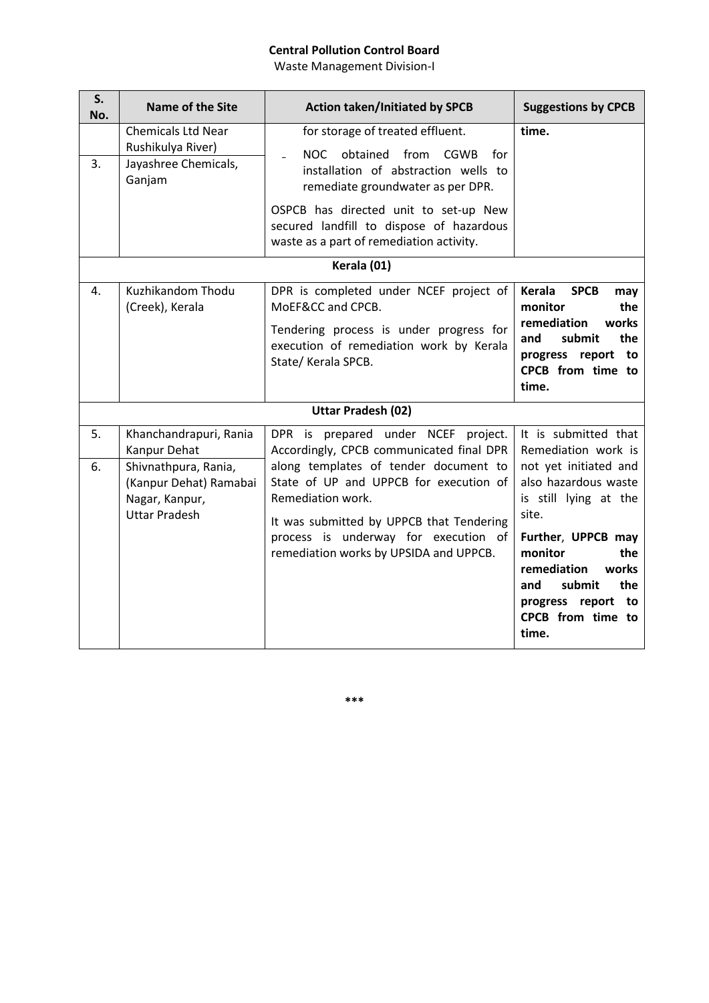Waste Management Division-I

| S.<br>No. | Name of the Site                                                                         | <b>Action taken/Initiated by SPCB</b>                                                                                                                                                                       | <b>Suggestions by CPCB</b>                                                                                                                         |  |  |  |  |
|-----------|------------------------------------------------------------------------------------------|-------------------------------------------------------------------------------------------------------------------------------------------------------------------------------------------------------------|----------------------------------------------------------------------------------------------------------------------------------------------------|--|--|--|--|
| 3.        | <b>Chemicals Ltd Near</b><br>Rushikulya River)<br>Jayashree Chemicals,<br>Ganjam         | for storage of treated effluent.<br><b>NOC</b><br>obtained from<br><b>CGWB</b><br>for<br>installation of abstraction wells to<br>remediate groundwater as per DPR.<br>OSPCB has directed unit to set-up New | time.                                                                                                                                              |  |  |  |  |
|           |                                                                                          | secured landfill to dispose of hazardous<br>waste as a part of remediation activity.                                                                                                                        |                                                                                                                                                    |  |  |  |  |
|           | Kerala (01)                                                                              |                                                                                                                                                                                                             |                                                                                                                                                    |  |  |  |  |
| 4.        | Kuzhikandom Thodu<br>(Creek), Kerala                                                     | DPR is completed under NCEF project of<br>MoEF&CC and CPCB.                                                                                                                                                 | Kerala<br><b>SPCB</b><br>may<br>monitor<br>the<br>remediation<br>works<br>and<br>submit<br>the<br>progress report to<br>CPCB from time to<br>time. |  |  |  |  |
|           |                                                                                          | Tendering process is under progress for<br>execution of remediation work by Kerala<br>State/ Kerala SPCB.                                                                                                   |                                                                                                                                                    |  |  |  |  |
|           |                                                                                          | <b>Uttar Pradesh (02)</b>                                                                                                                                                                                   |                                                                                                                                                    |  |  |  |  |
| 5.        | Khanchandrapuri, Rania<br>Kanpur Dehat                                                   | DPR is prepared under NCEF project.<br>Accordingly, CPCB communicated final DPR                                                                                                                             | It is submitted that<br>Remediation work is                                                                                                        |  |  |  |  |
| 6.        | Shivnathpura, Rania,<br>(Kanpur Dehat) Ramabai<br>Nagar, Kanpur,<br><b>Uttar Pradesh</b> | along templates of tender document to<br>State of UP and UPPCB for execution of<br>Remediation work.<br>It was submitted by UPPCB that Tendering                                                            | not yet initiated and<br>also hazardous waste<br>is still lying at the<br>site.                                                                    |  |  |  |  |
|           |                                                                                          | process is underway for execution of<br>remediation works by UPSIDA and UPPCB.                                                                                                                              | Further, UPPCB may<br>monitor<br>the<br>remediation<br>works<br>the<br>submit<br>and<br>progress report<br>to<br>CPCB from time to<br>time.        |  |  |  |  |

**\*\*\***